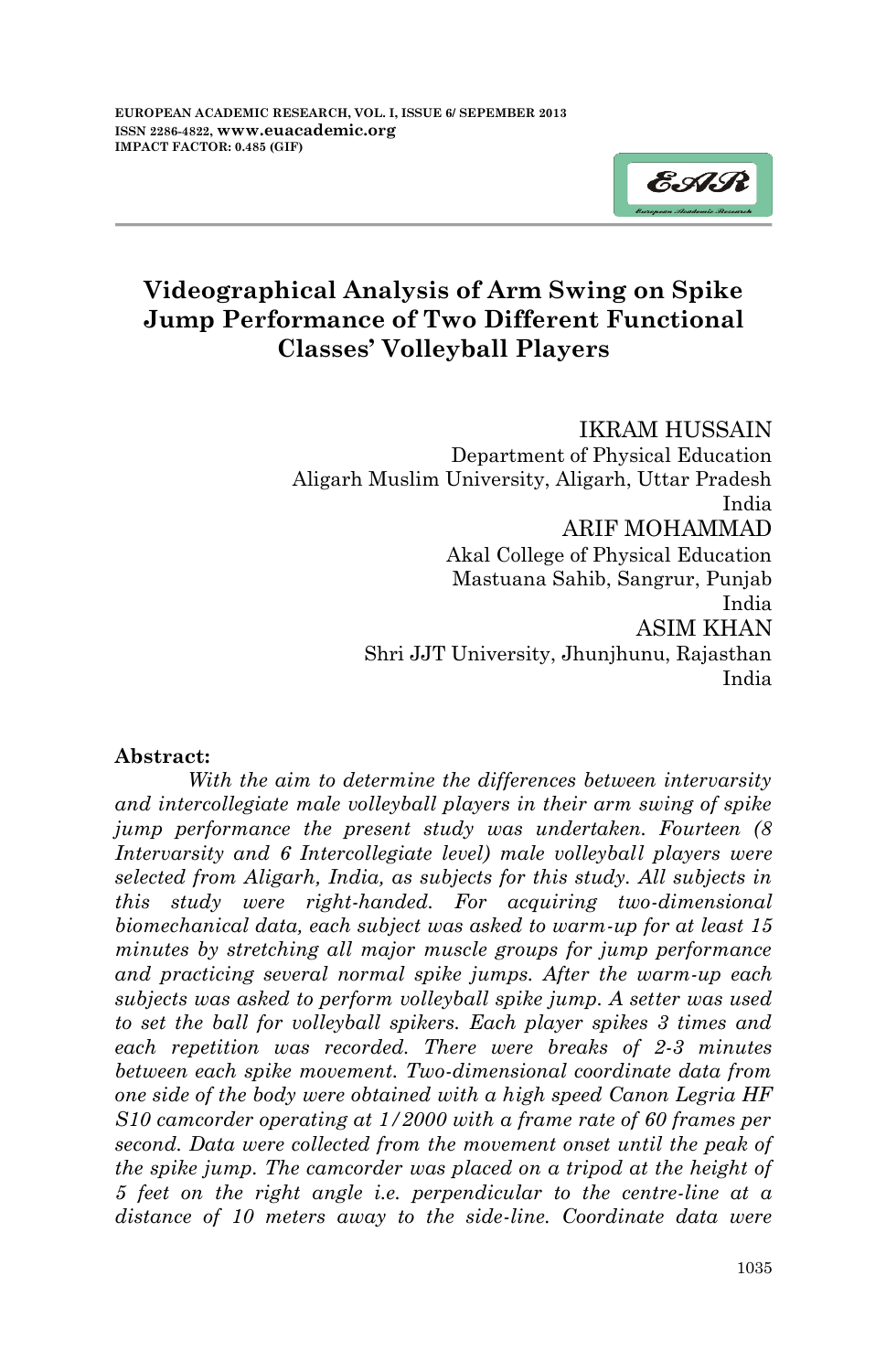

# **Videographical Analysis of Arm Swing on Spike Jump Performance of Two Different Functional Classes' Volleyball Players**

IKRAM HUSSAIN Department of Physical Education Aligarh Muslim University, Aligarh, Uttar Pradesh India ARIF MOHAMMAD Akal College of Physical Education Mastuana Sahib, Sangrur, Punjab India ASIM KHAN Shri JJT University, Jhunjhunu, Rajasthan India

#### **Abstract:**

*With the aim to determine the differences between intervarsity and intercollegiate male volleyball players in their arm swing of spike jump performance the present study was undertaken. Fourteen (8 Intervarsity and 6 Intercollegiate level) male volleyball players were selected from Aligarh, India, as subjects for this study. All subjects in this study were right-handed. For acquiring two-dimensional biomechanical data, each subject was asked to warm-up for at least 15 minutes by stretching all major muscle groups for jump performance and practicing several normal spike jumps. After the warm-up each subjects was asked to perform volleyball spike jump. A setter was used to set the ball for volleyball spikers. Each player spikes 3 times and each repetition was recorded. There were breaks of 2-3 minutes between each spike movement. Two-dimensional coordinate data from one side of the body were obtained with a high speed Canon Legria HF S10 camcorder operating at 1/2000 with a frame rate of 60 frames per second. Data were collected from the movement onset until the peak of the spike jump. The camcorder was placed on a tripod at the height of 5 feet on the right angle i.e. perpendicular to the centre-line at a distance of 10 meters away to the side-line. Coordinate data were*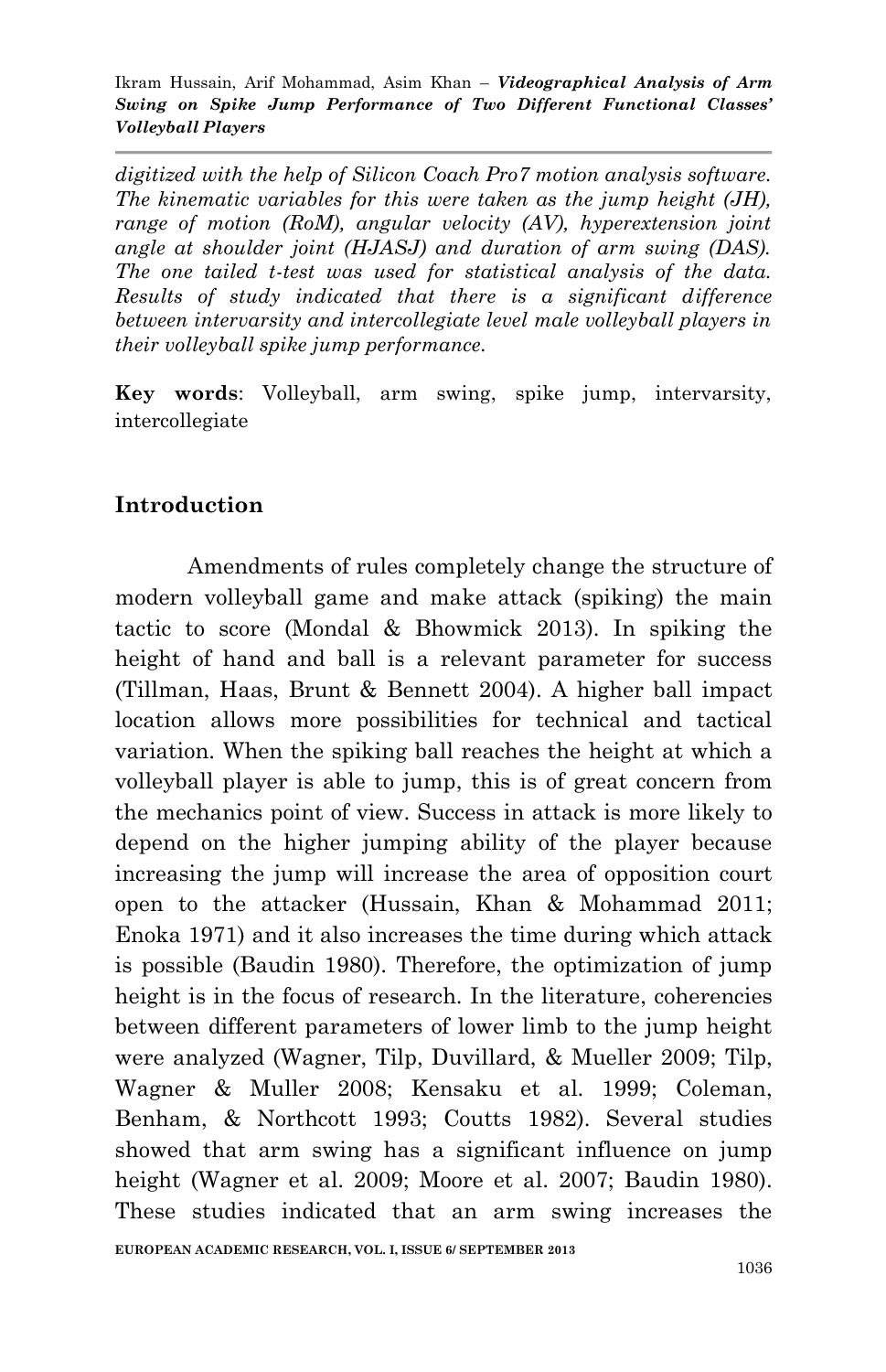*digitized with the help of Silicon Coach Pro7 motion analysis software. The kinematic variables for this were taken as the jump height (JH), range of motion (RoM), angular velocity (AV), hyperextension joint angle at shoulder joint (HJASJ) and duration of arm swing (DAS). The one tailed t-test was used for statistical analysis of the data. Results of study indicated that there is a significant difference between intervarsity and intercollegiate level male volleyball players in their volleyball spike jump performance.* 

**Key words**: Volleyball, arm swing, spike jump, intervarsity, intercollegiate

### **Introduction**

Amendments of rules completely change the structure of modern volleyball game and make attack (spiking) the main tactic to score (Mondal & Bhowmick 2013). In spiking the height of hand and ball is a relevant parameter for success (Tillman, Haas, Brunt & Bennett 2004). A higher ball impact location allows more possibilities for technical and tactical variation. When the spiking ball reaches the height at which a volleyball player is able to jump, this is of great concern from the mechanics point of view. Success in attack is more likely to depend on the higher jumping ability of the player because increasing the jump will increase the area of opposition court open to the attacker (Hussain, Khan & Mohammad 2011; Enoka 1971) and it also increases the time during which attack is possible (Baudin 1980). Therefore, the optimization of jump height is in the focus of research. In the literature, coherencies between different parameters of lower limb to the jump height were analyzed (Wagner, Tilp, Duvillard, & Mueller 2009; Tilp, Wagner & Muller 2008; Kensaku et al. 1999; Coleman, Benham, & Northcott 1993; Coutts 1982). Several studies showed that arm swing has a significant influence on jump height (Wagner et al. 2009; Moore et al. 2007; Baudin 1980). These studies indicated that an arm swing increases the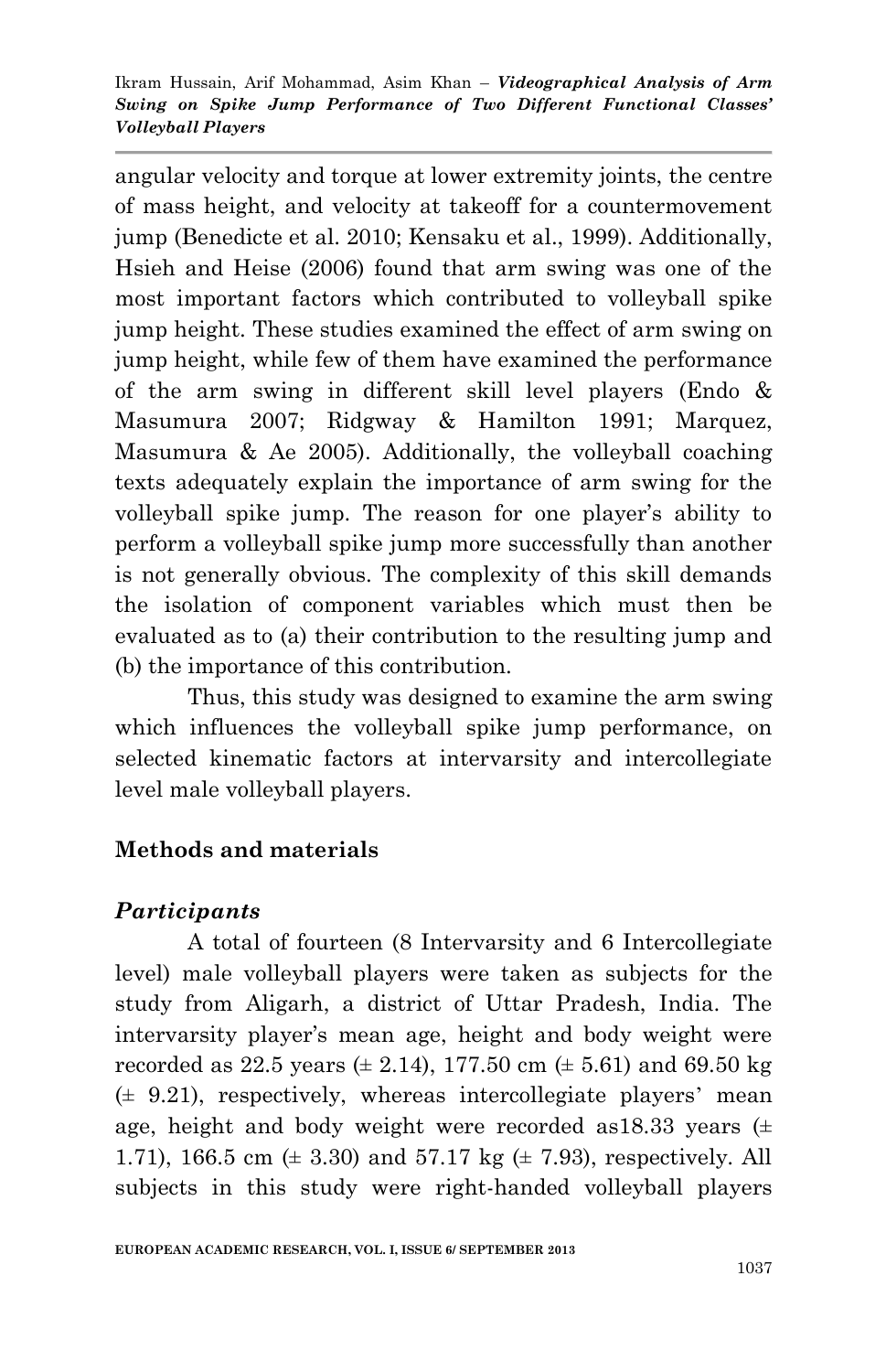angular velocity and torque at lower extremity joints, the centre of mass height, and velocity at takeoff for a countermovement jump (Benedicte et al. 2010; Kensaku et al., 1999). Additionally, Hsieh and Heise (2006) found that arm swing was one of the most important factors which contributed to volleyball spike jump height. These studies examined the effect of arm swing on jump height, while few of them have examined the performance of the arm swing in different skill level players (Endo & Masumura 2007; Ridgway & Hamilton 1991; Marquez, Masumura & Ae 2005). Additionally, the volleyball coaching texts adequately explain the importance of arm swing for the volleyball spike jump. The reason for one player's ability to perform a volleyball spike jump more successfully than another is not generally obvious. The complexity of this skill demands the isolation of component variables which must then be evaluated as to (a) their contribution to the resulting jump and (b) the importance of this contribution.

Thus, this study was designed to examine the arm swing which influences the volleyball spike jump performance, on selected kinematic factors at intervarsity and intercollegiate level male volleyball players.

## **Methods and materials**

# *Participants*

A total of fourteen (8 Intervarsity and 6 Intercollegiate level) male volleyball players were taken as subjects for the study from Aligarh, a district of Uttar Pradesh, India. The intervarsity player's mean age, height and body weight were recorded as 22.5 years  $(\pm 2.14)$ , 177.50 cm  $(\pm 5.61)$  and 69.50 kg  $(± 9.21)$ , respectively, whereas intercollegiate players' mean age, height and body weight were recorded as  $18.33$  years  $(±$ 1.71), 166.5 cm  $(\pm 3.30)$  and 57.17 kg  $(\pm 7.93)$ , respectively. All subjects in this study were right-handed volleyball players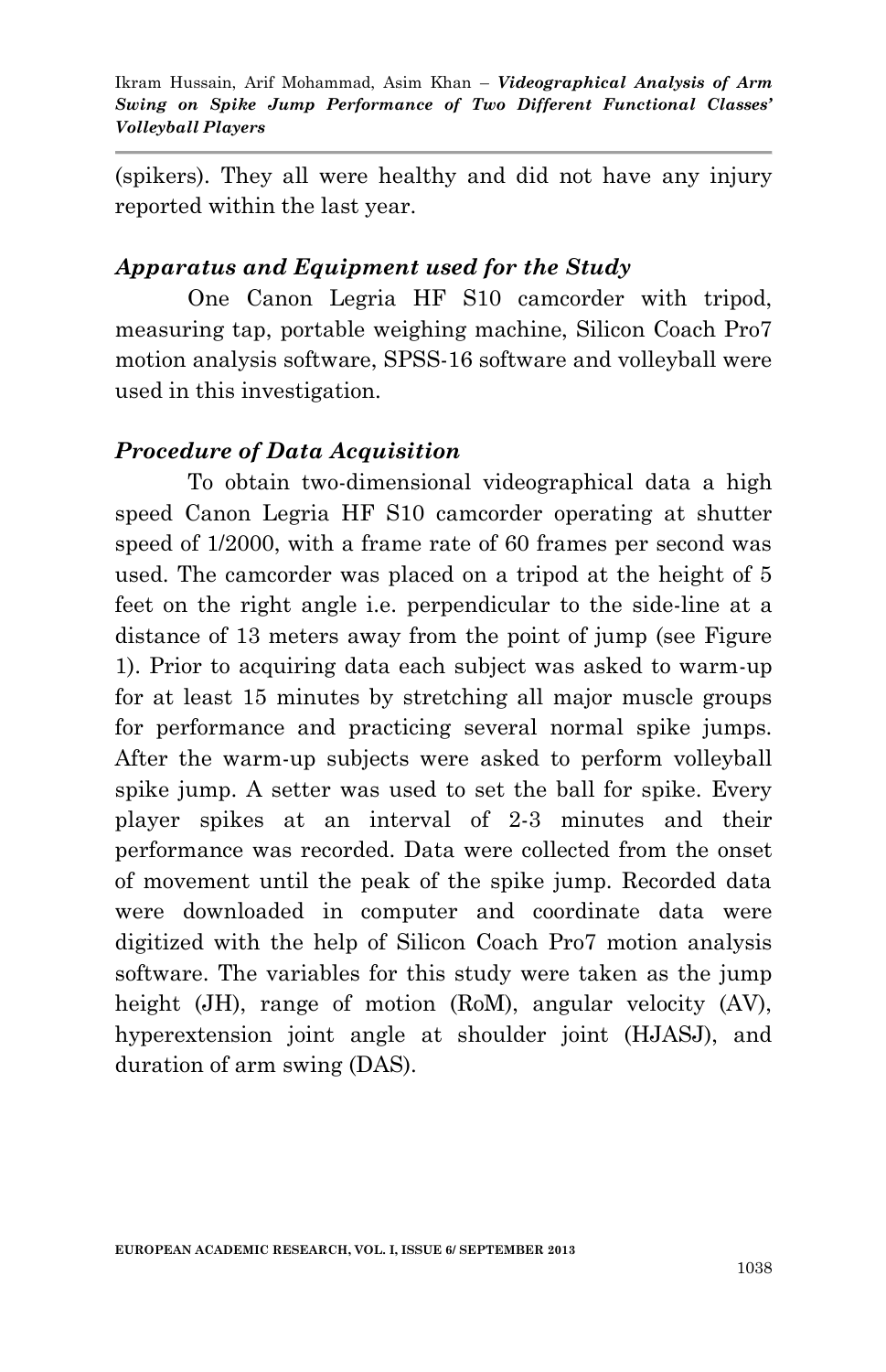(spikers). They all were healthy and did not have any injury reported within the last year.

### *Apparatus and Equipment used for the Study*

One Canon Legria HF S10 camcorder with tripod, measuring tap, portable weighing machine, Silicon Coach Pro7 motion analysis software, SPSS-16 software and volleyball were used in this investigation.

### *Procedure of Data Acquisition*

To obtain two-dimensional videographical data a high speed Canon Legria HF S10 camcorder operating at shutter speed of 1/2000, with a frame rate of 60 frames per second was used. The camcorder was placed on a tripod at the height of 5 feet on the right angle i.e. perpendicular to the side-line at a distance of 13 meters away from the point of jump (see Figure 1). Prior to acquiring data each subject was asked to warm-up for at least 15 minutes by stretching all major muscle groups for performance and practicing several normal spike jumps. After the warm-up subjects were asked to perform volleyball spike jump. A setter was used to set the ball for spike. Every player spikes at an interval of 2-3 minutes and their performance was recorded. Data were collected from the onset of movement until the peak of the spike jump. Recorded data were downloaded in computer and coordinate data were digitized with the help of Silicon Coach Pro7 motion analysis software. The variables for this study were taken as the jump height (JH), range of motion (RoM), angular velocity (AV), hyperextension joint angle at shoulder joint (HJASJ), and duration of arm swing (DAS).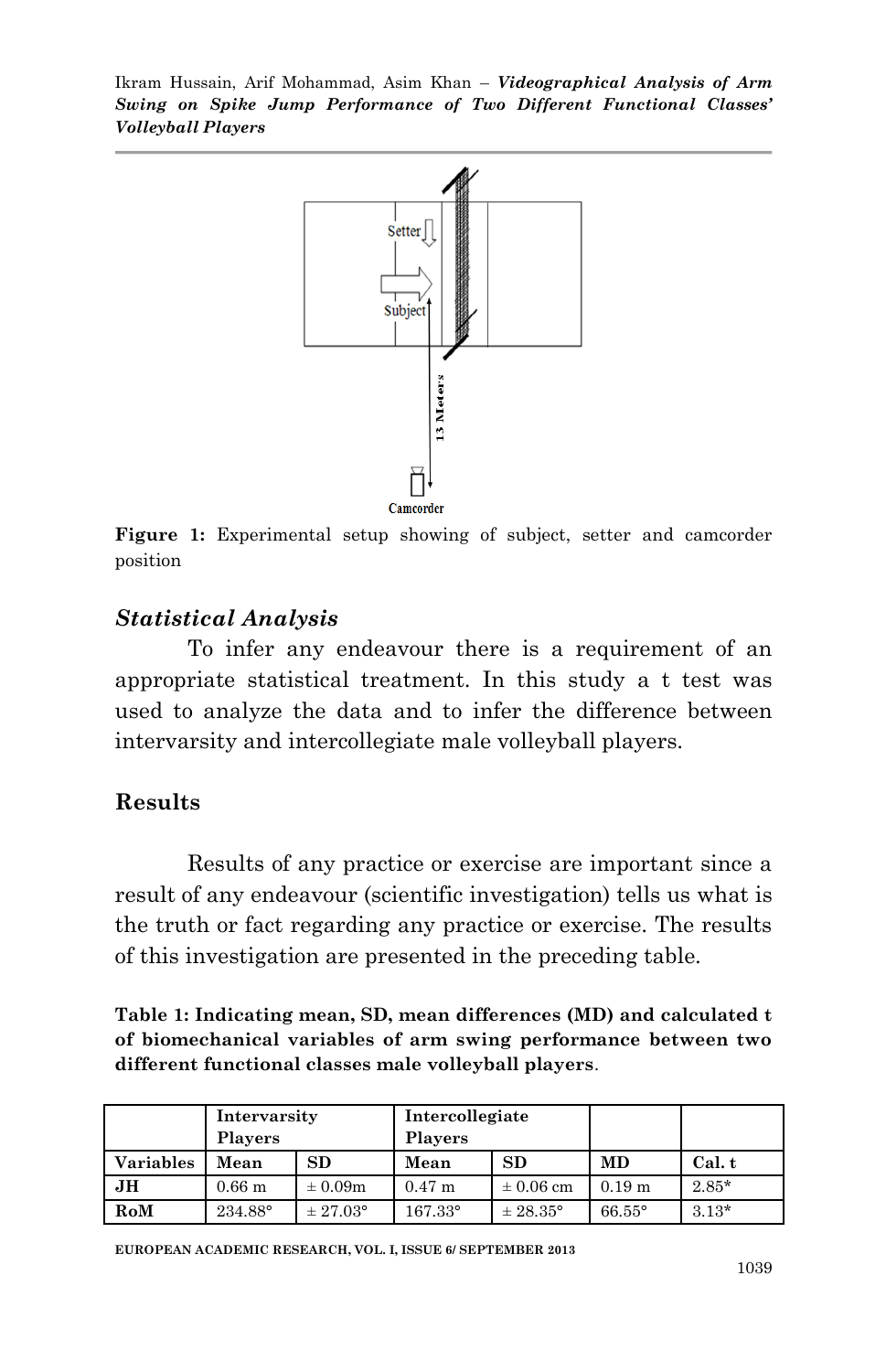

**Figure 1:** Experimental setup showing of subject, setter and camcorder position

#### *Statistical Analysis*

To infer any endeavour there is a requirement of an appropriate statistical treatment. In this study a t test was used to analyze the data and to infer the difference between intervarsity and intercollegiate male volleyball players.

#### **Results**

Results of any practice or exercise are important since a result of any endeavour (scientific investigation) tells us what is the truth or fact regarding any practice or exercise. The results of this investigation are presented in the preceding table.

**Table 1: Indicating mean, SD, mean differences (MD) and calculated t of biomechanical variables of arm swing performance between two different functional classes male volleyball players**.

|                  | Intervarsity<br><b>Players</b> |                     | Intercollegiate<br><b>Players</b> |                     |                      |         |
|------------------|--------------------------------|---------------------|-----------------------------------|---------------------|----------------------|---------|
| <b>Variables</b> | Mean                           | SD                  | Mean                              | <b>SD</b>           | <b>MD</b>            | Cal. t  |
| JН               | 0.66 <sub>m</sub>              | $\pm 0.09m$         | $0.47$ m                          | $\pm 0.06$ cm       | $0.19 \; \mathrm{m}$ | $2.85*$ |
| RoM              | 234.88°                        | $\pm 27.03^{\circ}$ | $167.33^{\circ}$                  | $\pm 28.35^{\circ}$ | $66.55^{\circ}$      | $3.13*$ |

**EUROPEAN ACADEMIC RESEARCH, VOL. I, ISSUE 6/ SEPTEMBER 2013**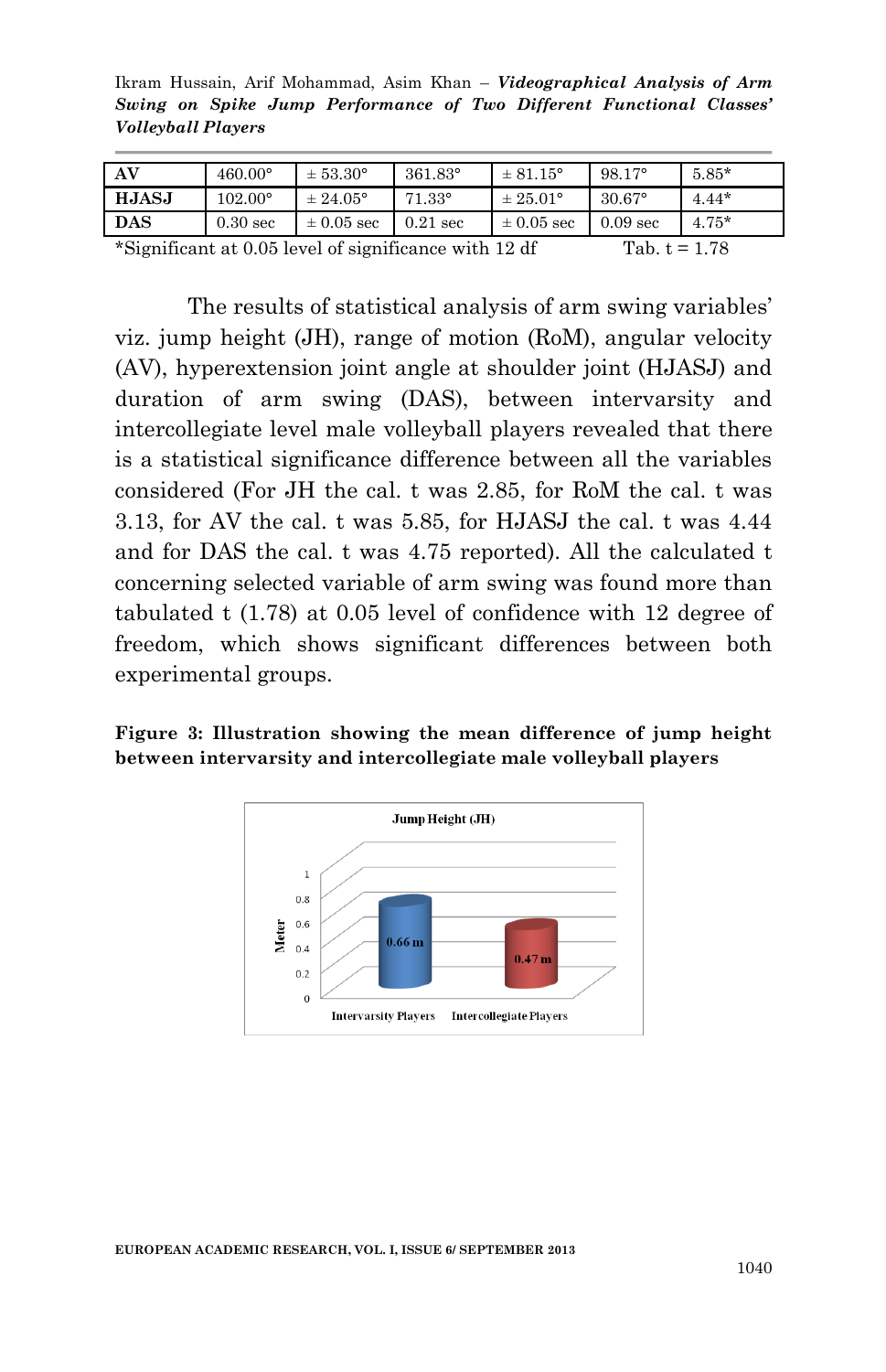Ikram Hussain, Arif Mohammad, Asim Khan – *Videographical Analysis of Arm Swing on Spike Jump Performance of Two Different Functional Classes' Volleyball Players*

| AV           | $460.00^{\circ}$ | $\pm 53.30^{\circ}$ | $361.83^{\circ}$ | $± 81.15^{\circ}$   | $98.17^{\circ}$     | $5.85*$ |
|--------------|------------------|---------------------|------------------|---------------------|---------------------|---------|
| <b>HJASJ</b> | $102.00^{\circ}$ | $\pm 24.05^{\circ}$ | $71.33^{\circ}$  | $\pm 25.01^{\circ}$ | $30.67^{\circ}$     | $4.44*$ |
| <b>DAS</b>   | $0.30$ sec       | $\pm 0.05$ sec      | $0.21$ sec       | $\pm 0.05$ sec      | 0.09 <sub>sec</sub> | $4.75*$ |
| .<br>_____   |                  | _____               |                  |                     | ____                |         |

\*Significant at 0.05 level of significance with 12 df Tab.  $t = 1.78$ 

The results of statistical analysis of arm swing variables' viz. jump height (JH), range of motion (RoM), angular velocity (AV), hyperextension joint angle at shoulder joint (HJASJ) and duration of arm swing (DAS), between intervarsity and intercollegiate level male volleyball players revealed that there is a statistical significance difference between all the variables considered (For JH the cal. t was 2.85, for RoM the cal. t was 3.13, for AV the cal. t was 5.85, for HJASJ the cal. t was 4.44 and for DAS the cal. t was 4.75 reported). All the calculated t concerning selected variable of arm swing was found more than tabulated t (1.78) at 0.05 level of confidence with 12 degree of freedom, which shows significant differences between both experimental groups.

#### **Figure 3: Illustration showing the mean difference of jump height between intervarsity and intercollegiate male volleyball players**

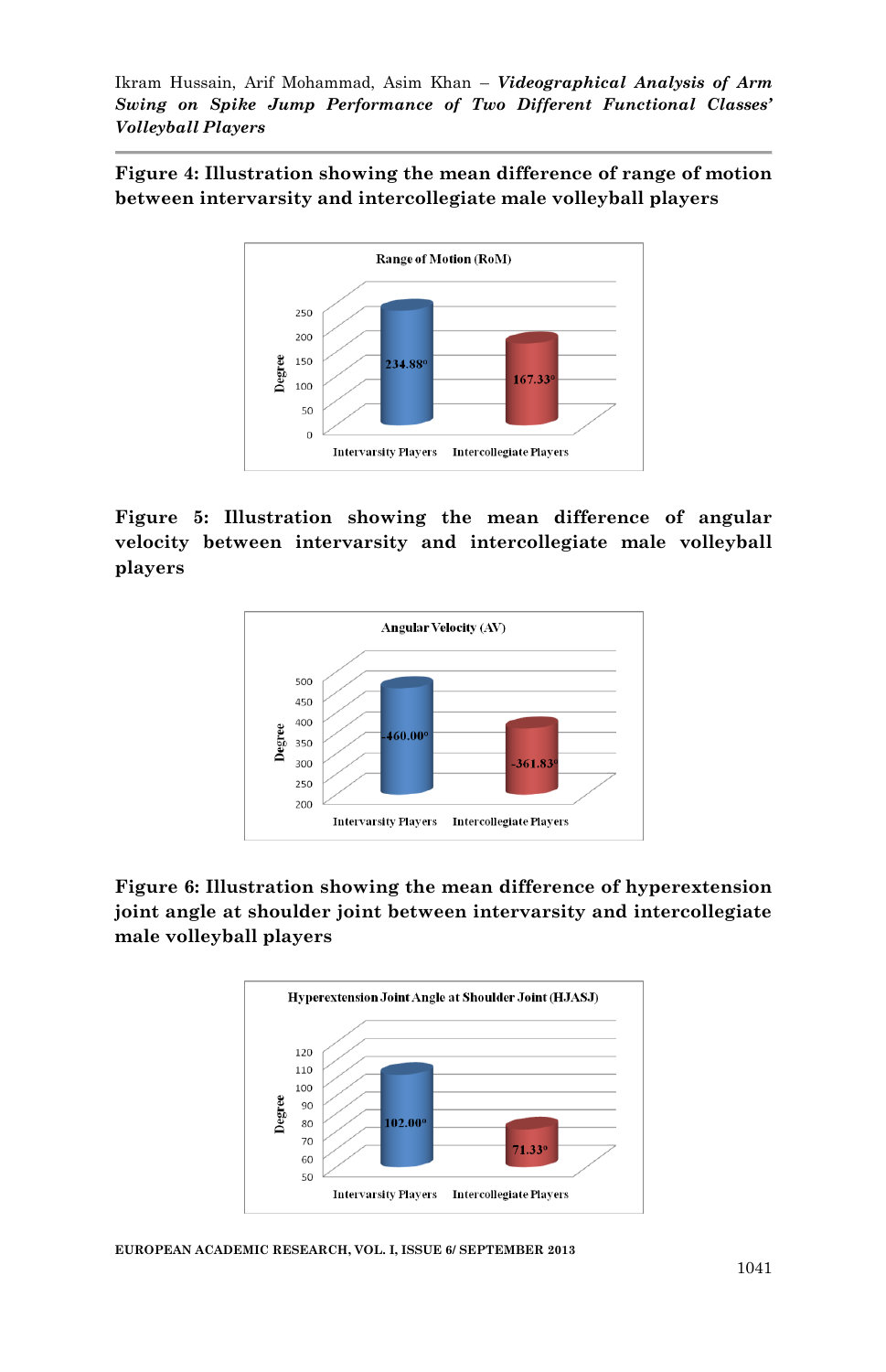**Figure 4: Illustration showing the mean difference of range of motion between intervarsity and intercollegiate male volleyball players**



#### **Figure 5: Illustration showing the mean difference of angular velocity between intervarsity and intercollegiate male volleyball players**



#### **Figure 6: Illustration showing the mean difference of hyperextension joint angle at shoulder joint between intervarsity and intercollegiate male volleyball players**



**EUROPEAN ACADEMIC RESEARCH, VOL. I, ISSUE 6/ SEPTEMBER 2013**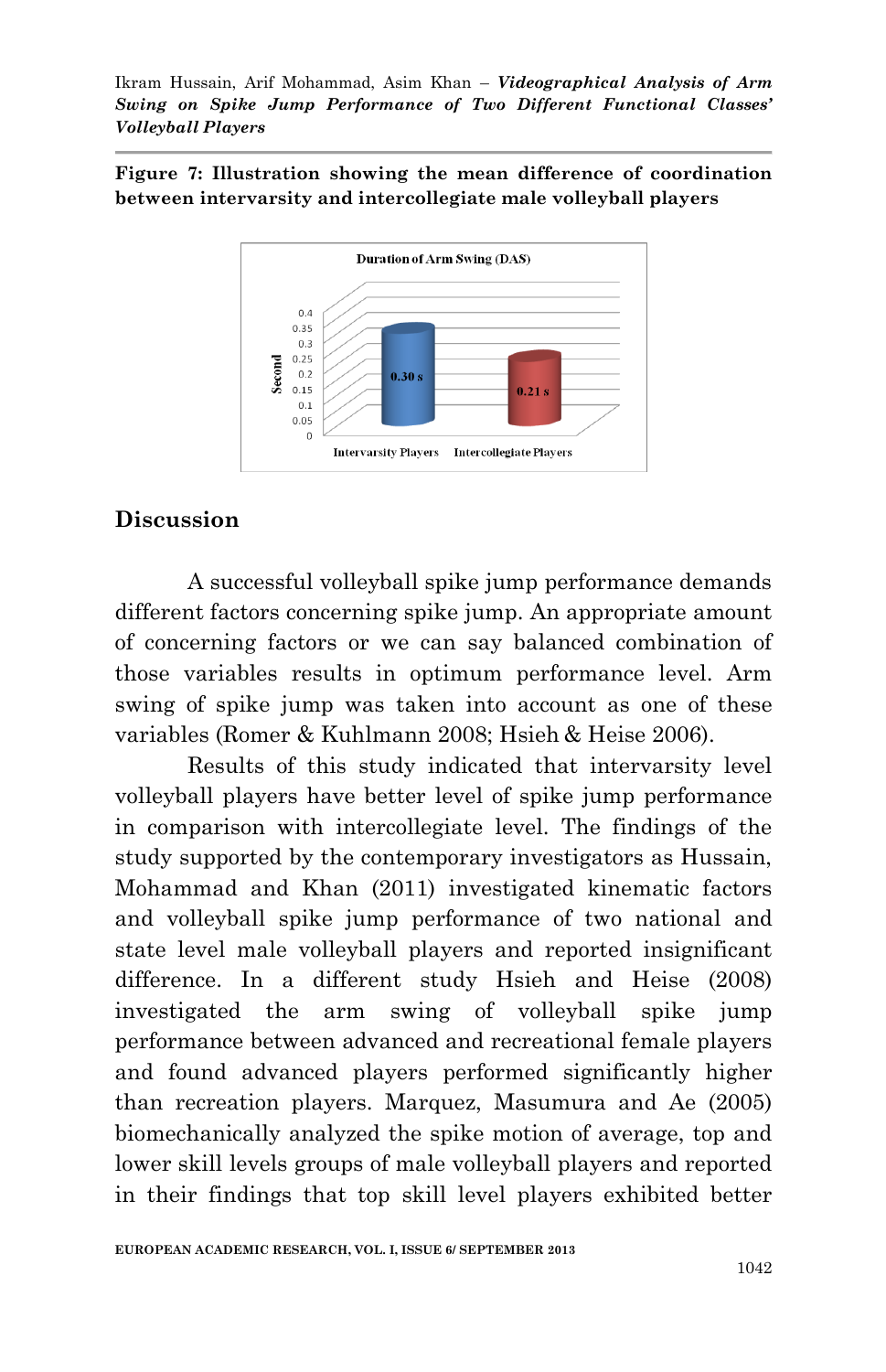**Figure 7: Illustration showing the mean difference of coordination between intervarsity and intercollegiate male volleyball players**



### **Discussion**

A successful volleyball spike jump performance demands different factors concerning spike jump. An appropriate amount of concerning factors or we can say balanced combination of those variables results in optimum performance level. Arm swing of spike jump was taken into account as one of these variables (Romer & Kuhlmann 2008; Hsieh & Heise 2006).

Results of this study indicated that intervarsity level volleyball players have better level of spike jump performance in comparison with intercollegiate level. The findings of the study supported by the contemporary investigators as Hussain, Mohammad and Khan (2011) investigated kinematic factors and volleyball spike jump performance of two national and state level male volleyball players and reported insignificant difference. In a different study Hsieh and Heise (2008) investigated the arm swing of volleyball spike jump performance between advanced and recreational female players and found advanced players performed significantly higher than recreation players. Marquez, Masumura and Ae (2005) biomechanically analyzed the spike motion of average, top and lower skill levels groups of male volleyball players and reported in their findings that top skill level players exhibited better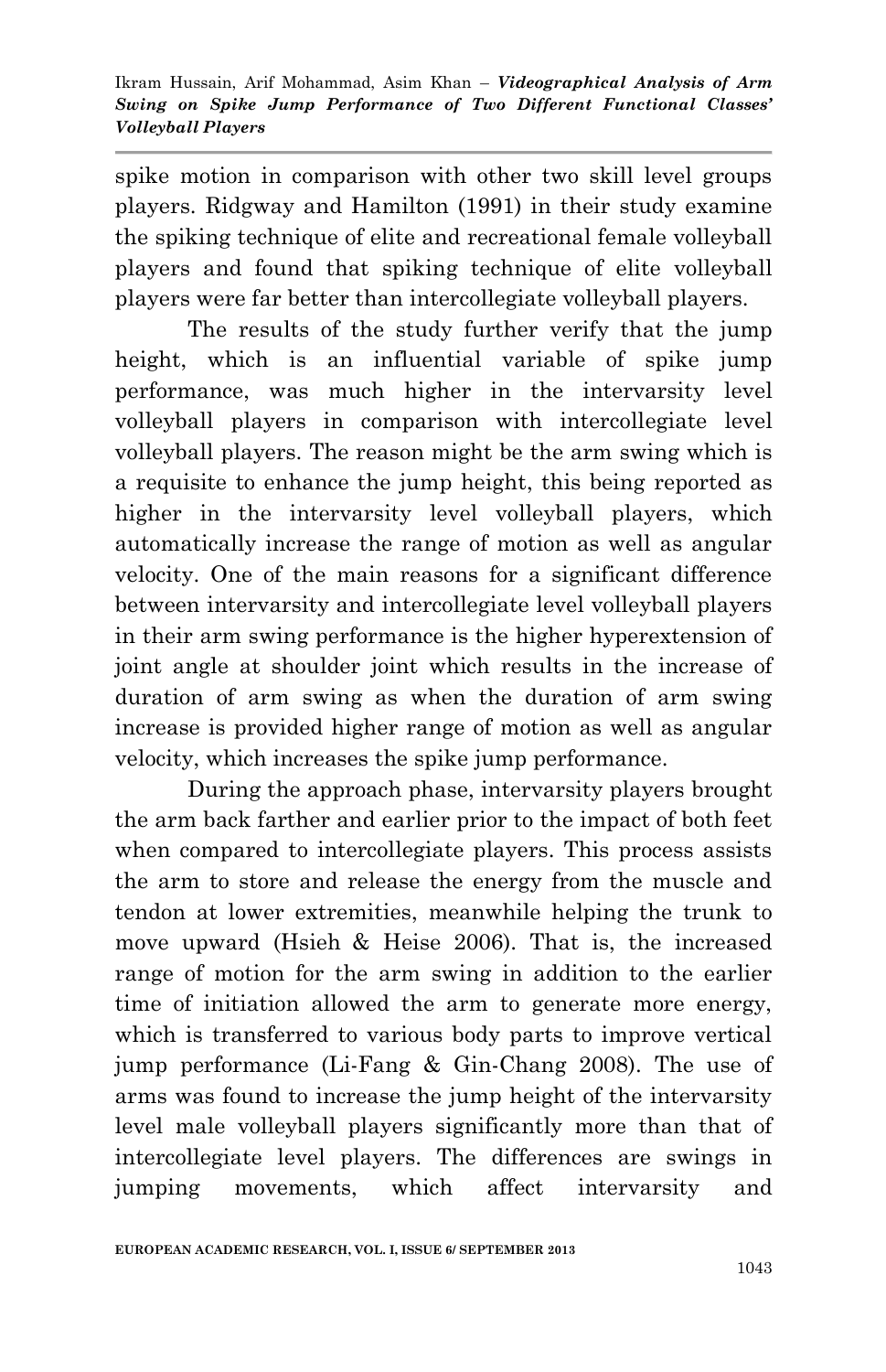spike motion in comparison with other two skill level groups players. Ridgway and Hamilton (1991) in their study examine the spiking technique of elite and recreational female volleyball players and found that spiking technique of elite volleyball players were far better than intercollegiate volleyball players.

The results of the study further verify that the jump height, which is an influential variable of spike jump performance, was much higher in the intervarsity level volleyball players in comparison with intercollegiate level volleyball players. The reason might be the arm swing which is a requisite to enhance the jump height, this being reported as higher in the intervarsity level volleyball players, which automatically increase the range of motion as well as angular velocity. One of the main reasons for a significant difference between intervarsity and intercollegiate level volleyball players in their arm swing performance is the higher hyperextension of joint angle at shoulder joint which results in the increase of duration of arm swing as when the duration of arm swing increase is provided higher range of motion as well as angular velocity, which increases the spike jump performance.

During the approach phase, intervarsity players brought the arm back farther and earlier prior to the impact of both feet when compared to intercollegiate players. This process assists the arm to store and release the energy from the muscle and tendon at lower extremities, meanwhile helping the trunk to move upward (Hsieh & Heise 2006). That is, the increased range of motion for the arm swing in addition to the earlier time of initiation allowed the arm to generate more energy, which is transferred to various body parts to improve vertical jump performance (Li-Fang & Gin-Chang 2008). The use of arms was found to increase the jump height of the intervarsity level male volleyball players significantly more than that of intercollegiate level players. The differences are swings in jumping movements, which affect intervarsity and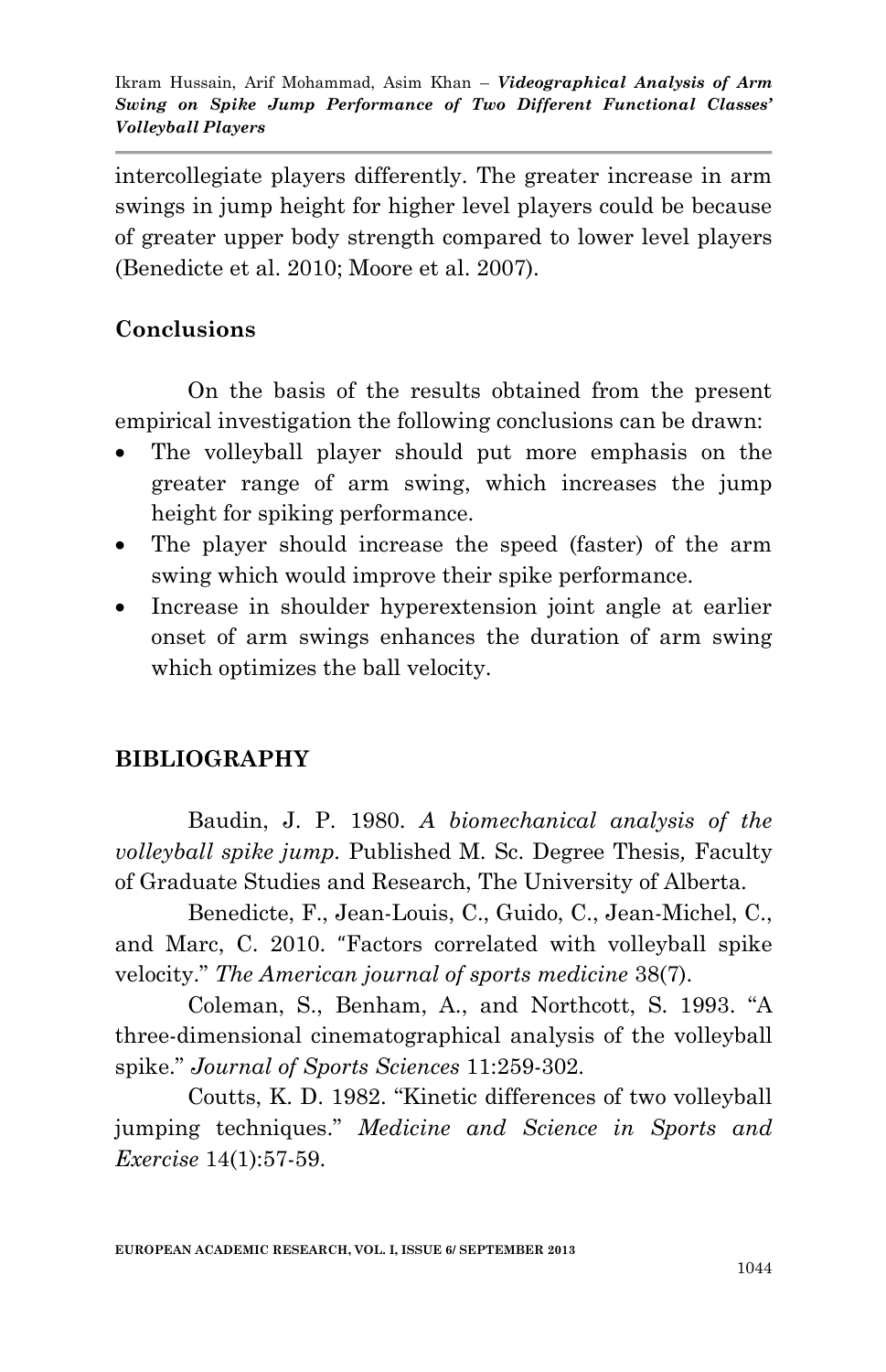intercollegiate players differently. The greater increase in arm swings in jump height for higher level players could be because of greater upper body strength compared to lower level players (Benedicte et al. 2010; Moore et al. 2007).

# **Conclusions**

On the basis of the results obtained from the present empirical investigation the following conclusions can be drawn:

- The volleyball player should put more emphasis on the greater range of arm swing, which increases the jump height for spiking performance.
- The player should increase the speed (faster) of the arm swing which would improve their spike performance.
- Increase in shoulder hyperextension joint angle at earlier onset of arm swings enhances the duration of arm swing which optimizes the ball velocity.

# **BIBLIOGRAPHY**

Baudin, J. P. 1980. *A biomechanical analysis of the volleyball spike jump.* Published M. Sc. Degree Thesis*,* Faculty of Graduate Studies and Research, The University of Alberta.

[Benedicte, F.](http://ajs.sagepub.com/search?author1=B%C3%A9n%C3%A9dicte+Forthomme&sortspec=date&submit=Submit), [Jean-Louis, C.](http://ajs.sagepub.com/search?author1=Jean-Louis+Croisier&sortspec=date&submit=Submit), [Guido, C.,](http://ajs.sagepub.com/search?author1=Guido+Ciccarone&sortspec=date&submit=Submit) [Jean-Michel, C.](http://ajs.sagepub.com/search?author1=Jean-Michel+Crielaard&sortspec=date&submit=Submit), and [Marc, C.](http://ajs.sagepub.com/search?author1=Marc+Cloes&sortspec=date&submit=Submit) 2010. "Factors correlated with volleyball spike velocity." *The American journal of sports medicine* 38(7).

Coleman, S., Benham, A., and Northcott, S. 1993. "A three-dimensional cinematographical analysis of the volleyball spike." *Journal of Sports Sciences* 11:259-302.

Coutts, K. D. 1982. "Kinetic differences of two volleyball jumping techniques." *Medicine and Science in Sports and Exercise* 14(1):57-59.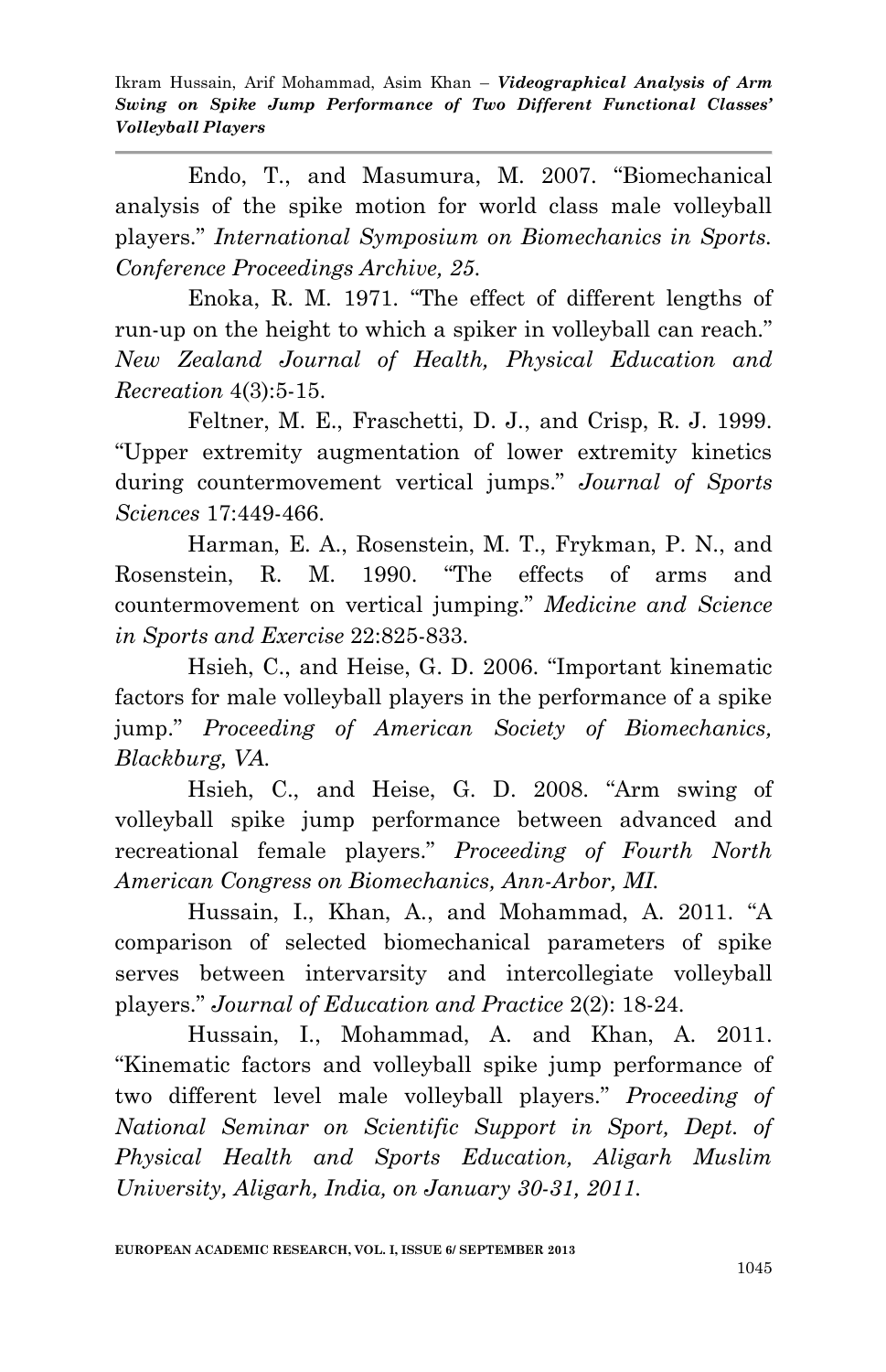Endo, T., and Masumura, M. 2007. "Biomechanical analysis of the spike motion for world class male volleyball players." *International Symposium on Biomechanics in Sports. Conference Proceedings Archive, 25*.

Enoka, R. M. 1971. "The effect of different lengths of run-up on the height to which a spiker in volleyball can reach." *New Zealand Journal of Health, Physical Education and Recreation* 4(3):5-15.

Feltner, M. E., Fraschetti, D. J., and Crisp, R. J. 1999. "Upper extremity augmentation of lower extremity kinetics during countermovement vertical jumps." *Journal of Sports Sciences* 17:449-466.

Harman, E. A., Rosenstein, M. T., Frykman, P. N., and Rosenstein, R. M. 1990. "The effects of arms and countermovement on vertical jumping." *Medicine and Science in Sports and Exercise* 22:825-833.

Hsieh, C., and Heise, G. D. 2006. "Important kinematic factors for male volleyball players in the performance of a spike jump." *Proceeding of American Society of Biomechanics, Blackburg, VA.* 

Hsieh, C., and Heise, G. D. 2008. "Arm swing of volleyball spike jump performance between advanced and recreational female players." *Proceeding of Fourth North American Congress on Biomechanics, Ann-Arbor, MI.*

Hussain, I., Khan, A., and Mohammad, A. 2011. "A comparison of selected biomechanical parameters of spike serves between intervarsity and intercollegiate volleyball players." *Journal of Education and Practice* 2(2): 18-24.

Hussain, I., Mohammad, A. and Khan, A. 2011. "Kinematic factors and volleyball spike jump performance of two different level male volleyball players." *Proceeding of National Seminar on Scientific Support in Sport, Dept. of Physical Health and Sports Education, Aligarh Muslim University, Aligarh, India, on January 30-31, 2011.*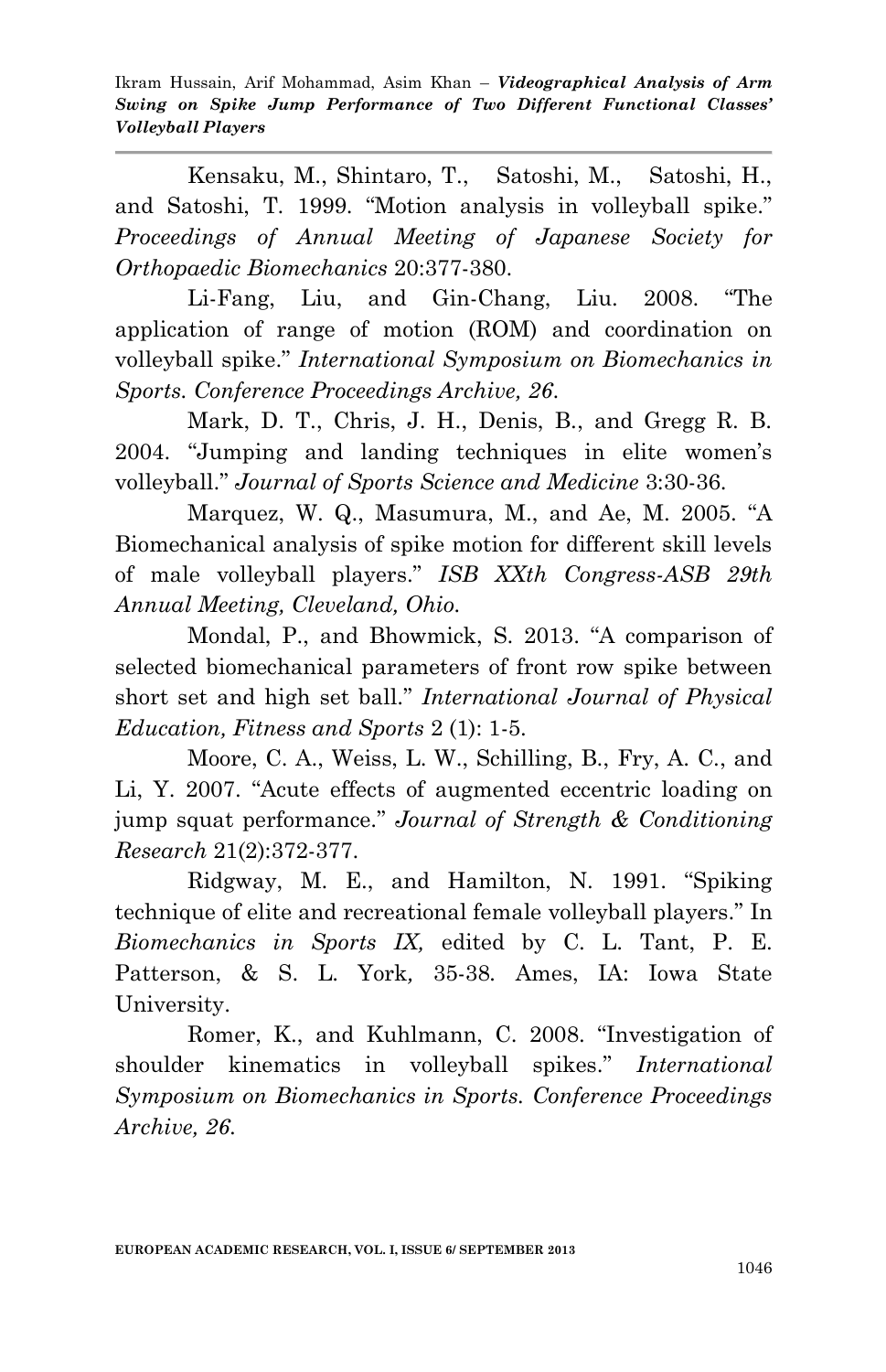Kensaku, M., Shintaro, T., Satoshi, M., Satoshi, H., and Satoshi, T. 1999. "Motion analysis in volleyball spike." *Proceedings of Annual Meeting of Japanese Society for Orthopaedic Biomechanics* 20:377-380.

Li-Fang, Liu, and Gin-Chang, Liu. 2008. "The application of range of motion (ROM) and coordination on volleyball spike." *International Symposium on Biomechanics in Sports. Conference Proceedings Archive, 26*.

Mark, D. T., Chris, J. H., Denis, B., and Gregg R. B. 2004. "Jumping and landing techniques in elite women's volleyball." *Journal of Sports Science and Medicine* 3:30-36.

Marquez, W. Q., Masumura, M., and Ae, M. 2005. "A Biomechanical analysis of spike motion for different skill levels of male volleyball players." *ISB XXth Congress-ASB 29th Annual Meeting, Cleveland, Ohio.*

Mondal, P., and Bhowmick, S. 2013. "A comparison of selected biomechanical parameters of front row spike between short set and high set ball." *International Journal of Physical Education, Fitness and Sports* 2 (1): 1-5.

Moore, C. A., Weiss, L. W., Schilling, B., Fry, A. C., and Li, Y. 2007. "Acute effects of augmented eccentric loading on jump squat performance." *Journal of Strength & Conditioning Research* 21(2):372-377.

Ridgway, M. E., and Hamilton, N. 1991. "Spiking technique of elite and recreational female volleyball players." In *Biomechanics in Sports IX,* edited by C. L. Tant, P. E. Patterson, & S. L. York*,* 35-38*.* Ames, IA: Iowa State University.

Romer, K., and Kuhlmann, C. 2008. "Investigation of shoulder kinematics in volleyball spikes." *International Symposium on Biomechanics in Sports. Conference Proceedings Archive, 26*.